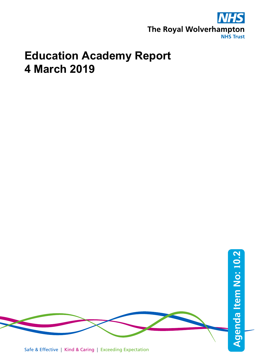

**2**

# **Education Academy Report 4 March 2019**



Safe & Effective | Kind & Caring | Exceeding Expectation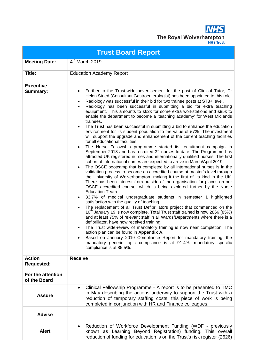**NHS** The Royal Wolverhampton

|                                    | <b>Trust Board Report</b>                                                                                                                                                                                                                                                                                                                                                                                                                                                                                                                                                                                                                                                                                                                                                                                                                                                                                                                                                                                                                                                                                                                                                                                                                                                                                                                                                                                                                                                                                                                                                                                                                                                                                                                                                                                                                                                                                                                                                                                                                                                                                                                                                                                                                                                      |
|------------------------------------|--------------------------------------------------------------------------------------------------------------------------------------------------------------------------------------------------------------------------------------------------------------------------------------------------------------------------------------------------------------------------------------------------------------------------------------------------------------------------------------------------------------------------------------------------------------------------------------------------------------------------------------------------------------------------------------------------------------------------------------------------------------------------------------------------------------------------------------------------------------------------------------------------------------------------------------------------------------------------------------------------------------------------------------------------------------------------------------------------------------------------------------------------------------------------------------------------------------------------------------------------------------------------------------------------------------------------------------------------------------------------------------------------------------------------------------------------------------------------------------------------------------------------------------------------------------------------------------------------------------------------------------------------------------------------------------------------------------------------------------------------------------------------------------------------------------------------------------------------------------------------------------------------------------------------------------------------------------------------------------------------------------------------------------------------------------------------------------------------------------------------------------------------------------------------------------------------------------------------------------------------------------------------------|
| <b>Meeting Date:</b>               | 4 <sup>th</sup> March 2019                                                                                                                                                                                                                                                                                                                                                                                                                                                                                                                                                                                                                                                                                                                                                                                                                                                                                                                                                                                                                                                                                                                                                                                                                                                                                                                                                                                                                                                                                                                                                                                                                                                                                                                                                                                                                                                                                                                                                                                                                                                                                                                                                                                                                                                     |
| Title:                             | <b>Education Academy Report</b>                                                                                                                                                                                                                                                                                                                                                                                                                                                                                                                                                                                                                                                                                                                                                                                                                                                                                                                                                                                                                                                                                                                                                                                                                                                                                                                                                                                                                                                                                                                                                                                                                                                                                                                                                                                                                                                                                                                                                                                                                                                                                                                                                                                                                                                |
| <b>Executive</b><br>Summary:       | Further to the Trust-wide advertisement for the post of Clinical Tutor, Dr<br>Helen Steed (Consultant Gastroenterologist) has been appointed to this role.<br>Radiology was successful in their bid for two trainee posts at ST3+ level.<br>$\bullet$<br>Radiology has been successful in submitting a bid for extra teaching<br>equipment. This amounts to £62k for some extra workstations and £85k to<br>enable the department to become a 'teaching academy' for West Midlands<br>trainees.<br>The Trust has been successful in submitting a bid to enhance the education<br>environment for its student population to the value of £72k. The investment<br>will support the upgrade and enhancement of the current teaching facilities<br>for all educational faculties.<br>The Nurse Fellowship programme started its recruitment campaign in<br>September 2018 and has recruited 32 nurses to-date. The Programme has<br>attracted UK registered nurses and internationally qualified nurses. The first<br>cohort of international nurses are expected to arrive in March/April 2019.<br>The OSCE bootcamp that is completed by all international nurses is in the<br>$\bullet$<br>validation process to become an accredited course at master's level through<br>the University of Wolverhampton, making it the first of its kind in the UK.<br>There has been interest from outside of the organisation for places on our<br>OSCE accredited course, which is being explored further by the Nurse<br><b>Education Team.</b><br>83.7% of medical undergraduate students in semester 1 highlighted<br>٠<br>satisfaction with the quality of teaching.<br>The replacement of all Trust Defibrillators project that commenced on the<br>$\bullet$<br>10 <sup>th</sup> January 19 is now complete. Total Trust staff trained is now 2866 (85%)<br>and at least 75% of relevant staff in all Wards/Departments where there is a<br>defibrillator, have now received training.<br>The Trust wide-review of mandatory training is now near completion. The<br>action plan can be found in Appendix A.<br>Based on January 2019 Compliance Report for mandatory training, the<br>mandatory generic topic compliance is at 91.4%, mandatory specific<br>compliance is at 85.5%. |
| <b>Action</b><br><b>Requested:</b> | <b>Receive</b>                                                                                                                                                                                                                                                                                                                                                                                                                                                                                                                                                                                                                                                                                                                                                                                                                                                                                                                                                                                                                                                                                                                                                                                                                                                                                                                                                                                                                                                                                                                                                                                                                                                                                                                                                                                                                                                                                                                                                                                                                                                                                                                                                                                                                                                                 |
| For the attention<br>of the Board  |                                                                                                                                                                                                                                                                                                                                                                                                                                                                                                                                                                                                                                                                                                                                                                                                                                                                                                                                                                                                                                                                                                                                                                                                                                                                                                                                                                                                                                                                                                                                                                                                                                                                                                                                                                                                                                                                                                                                                                                                                                                                                                                                                                                                                                                                                |
| <b>Assure</b>                      | Clinical Fellowship Programme - A report is to be presented to TMC<br>$\bullet$<br>in May describing the actions underway to support the Trust with a<br>reduction of temporary staffing costs; this piece of work is being<br>completed in conjunction with HR and Finance colleagues.                                                                                                                                                                                                                                                                                                                                                                                                                                                                                                                                                                                                                                                                                                                                                                                                                                                                                                                                                                                                                                                                                                                                                                                                                                                                                                                                                                                                                                                                                                                                                                                                                                                                                                                                                                                                                                                                                                                                                                                        |
| <b>Advise</b>                      |                                                                                                                                                                                                                                                                                                                                                                                                                                                                                                                                                                                                                                                                                                                                                                                                                                                                                                                                                                                                                                                                                                                                                                                                                                                                                                                                                                                                                                                                                                                                                                                                                                                                                                                                                                                                                                                                                                                                                                                                                                                                                                                                                                                                                                                                                |
| <b>Alert</b>                       | Reduction of Workforce Development Funding (WDF - previously<br>known as Learning Beyond Registration) funding. This overall<br>reduction of funding for education is on the Trust's risk register (2626)                                                                                                                                                                                                                                                                                                                                                                                                                                                                                                                                                                                                                                                                                                                                                                                                                                                                                                                                                                                                                                                                                                                                                                                                                                                                                                                                                                                                                                                                                                                                                                                                                                                                                                                                                                                                                                                                                                                                                                                                                                                                      |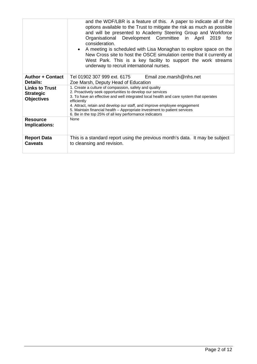|                                                                | and the WDF/LBR is a feature of this. A paper to indicate all of the<br>options available to the Trust to mitigate the risk as much as possible<br>and will be presented to Academy Steering Group and Workforce<br>Organisational Development Committee in April<br>for<br>2019<br>consideration.<br>A meeting is scheduled with Lisa Monaghan to explore space on the<br>New Cross site to host the OSCE simulation centre that it currently at<br>West Park. This is a key facility to support the work streams<br>underway to recruit international nurses. |
|----------------------------------------------------------------|-----------------------------------------------------------------------------------------------------------------------------------------------------------------------------------------------------------------------------------------------------------------------------------------------------------------------------------------------------------------------------------------------------------------------------------------------------------------------------------------------------------------------------------------------------------------|
| <b>Author + Contact</b><br>Details:                            | Tel 01902 307 999 ext. 6175<br>Email zoe.marsh@nhs.net<br>Zoe Marsh, Deputy Head of Education                                                                                                                                                                                                                                                                                                                                                                                                                                                                   |
| <b>Links to Trust</b><br><b>Strategic</b><br><b>Objectives</b> | 1. Create a culture of compassion, safety and quality<br>2. Proactively seek opportunities to develop our services<br>3. To have an effective and well integrated local health and care system that operates<br>efficiently<br>4. Attract, retain and develop our staff, and improve employee engagement<br>5. Maintain financial health - Appropriate investment to patient services<br>6. Be in the top 25% of all key performance indicators                                                                                                                 |
| <b>Resource</b><br><b>Implications:</b>                        | None                                                                                                                                                                                                                                                                                                                                                                                                                                                                                                                                                            |
| <b>Report Data</b><br><b>Caveats</b>                           | This is a standard report using the previous month's data. It may be subject<br>to cleansing and revision.                                                                                                                                                                                                                                                                                                                                                                                                                                                      |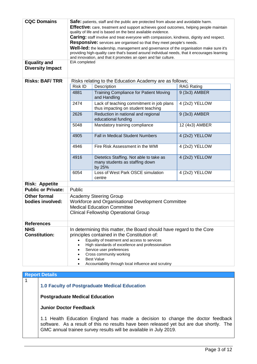| <b>CQC Domains</b><br><b>Equality and</b><br><b>Diversity Impact</b><br><b>Risks: BAF/TRR</b> | EIA completed                                                                                                                                                                                                                                                                                                                                               | Safe: patients, staff and the public are protected from abuse and avoidable harm.<br><b>Effective:</b> care, treatment and support achieves good outcomes, helping people maintain<br>quality of life and is based on the best available evidence.<br><b>Caring:</b> staff involve and treat everyone with compassion, kindness, dignity and respect.<br><b>Responsive:</b> services are organised so that they meet people's needs.<br>Well-led: the leadership, management and governance of the organisation make sure it's<br>providing high-quality care that's based around individual needs, that it encourages learning<br>and innovation, and that it promotes an open and fair culture.<br>Risks relating to the Education Academy are as follows; |                   |
|-----------------------------------------------------------------------------------------------|-------------------------------------------------------------------------------------------------------------------------------------------------------------------------------------------------------------------------------------------------------------------------------------------------------------------------------------------------------------|--------------------------------------------------------------------------------------------------------------------------------------------------------------------------------------------------------------------------------------------------------------------------------------------------------------------------------------------------------------------------------------------------------------------------------------------------------------------------------------------------------------------------------------------------------------------------------------------------------------------------------------------------------------------------------------------------------------------------------------------------------------|-------------------|
|                                                                                               | Risk ID                                                                                                                                                                                                                                                                                                                                                     | Description                                                                                                                                                                                                                                                                                                                                                                                                                                                                                                                                                                                                                                                                                                                                                  | <b>RAG Rating</b> |
|                                                                                               | 4881                                                                                                                                                                                                                                                                                                                                                        | <b>Training Compliance for Patient Moving</b><br>and Handling                                                                                                                                                                                                                                                                                                                                                                                                                                                                                                                                                                                                                                                                                                | 9 (3x3) AMBER     |
|                                                                                               | 2474                                                                                                                                                                                                                                                                                                                                                        | Lack of teaching commitment in job plans<br>thus impacting on student teaching                                                                                                                                                                                                                                                                                                                                                                                                                                                                                                                                                                                                                                                                               | 4 (2x2) YELLOW    |
|                                                                                               | 2626                                                                                                                                                                                                                                                                                                                                                        | Reduction in national and regional<br>educational funding                                                                                                                                                                                                                                                                                                                                                                                                                                                                                                                                                                                                                                                                                                    | 9 (3x3) AMBER     |
|                                                                                               | 5048                                                                                                                                                                                                                                                                                                                                                        | Mandatory training compliance                                                                                                                                                                                                                                                                                                                                                                                                                                                                                                                                                                                                                                                                                                                                | 12 (4x3) AMBER    |
|                                                                                               | 4905                                                                                                                                                                                                                                                                                                                                                        | <b>Fall in Medical Student Numbers</b>                                                                                                                                                                                                                                                                                                                                                                                                                                                                                                                                                                                                                                                                                                                       | 4 (2x2) YELLOW    |
|                                                                                               | 4946                                                                                                                                                                                                                                                                                                                                                        | Fire Risk Assessment in the WMI                                                                                                                                                                                                                                                                                                                                                                                                                                                                                                                                                                                                                                                                                                                              | 4 (2x2) YELLOW    |
|                                                                                               | 4916                                                                                                                                                                                                                                                                                                                                                        | Dietetics Staffing. Not able to take as<br>many students as staffing down<br>by 25%                                                                                                                                                                                                                                                                                                                                                                                                                                                                                                                                                                                                                                                                          | 4 (2x2) YELLOW    |
|                                                                                               | 6054                                                                                                                                                                                                                                                                                                                                                        | Loss of West Park OSCE simulation<br>centre                                                                                                                                                                                                                                                                                                                                                                                                                                                                                                                                                                                                                                                                                                                  | 4 (2x2) YELLOW    |
| <b>Risk: Appetite</b>                                                                         |                                                                                                                                                                                                                                                                                                                                                             |                                                                                                                                                                                                                                                                                                                                                                                                                                                                                                                                                                                                                                                                                                                                                              |                   |
| <b>Public or Private:</b>                                                                     | Public                                                                                                                                                                                                                                                                                                                                                      |                                                                                                                                                                                                                                                                                                                                                                                                                                                                                                                                                                                                                                                                                                                                                              |                   |
| <b>Other formal</b><br>bodies involved:                                                       | <b>Academy Steering Group</b><br>Workforce and Organisational Development Committee<br><b>Medical Education Committee</b><br><b>Clinical Fellowship Operational Group</b>                                                                                                                                                                                   |                                                                                                                                                                                                                                                                                                                                                                                                                                                                                                                                                                                                                                                                                                                                                              |                   |
| <b>References</b>                                                                             |                                                                                                                                                                                                                                                                                                                                                             |                                                                                                                                                                                                                                                                                                                                                                                                                                                                                                                                                                                                                                                                                                                                                              |                   |
| <b>NHS</b><br><b>Constitution:</b>                                                            | In determining this matter, the Board should have regard to the Core<br>principles contained in the Constitution of:<br>Equality of treatment and access to services<br>High standards of excellence and professionalism<br>Service user preferences<br>Cross community working<br><b>Best Value</b><br>Accountability through local influence and scrutiny |                                                                                                                                                                                                                                                                                                                                                                                                                                                                                                                                                                                                                                                                                                                                                              |                   |

# **Report Details**

1

**1.0 Faculty of Postgraduate Medical Education** 

**Postgraduate Medical Education** 

**Junior Doctor Feedback**

1.1 Health Education England has made a decision to change the doctor feedback software. As a result of this no results have been released yet but are due shortly. The GMC annual trainee survey results will be available in July 2019.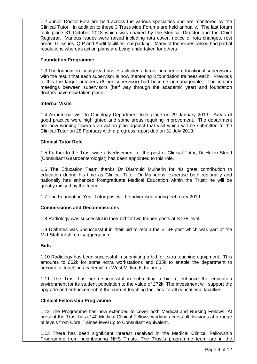1.2 Junior Doctor Fora are held across the various specialties and are monitored by the Clinical Tutor. In addition to these 3 Trust-wide Forums are held annually. The last forum took place 31 October 2018 which was chaired by the Medical Director and the Chief Registrar. Various issues were raised including rota cover, notice of rota changes, rest areas, IT issues, QIP and Audit facilities, car parking. Many of the issues raised had partial resolutions whereas action plans are being undertaken for others.

# **Foundation Programme**

1.3 The foundation faculty lead has established a larger number of educational supervisors with the result that each supervisor is now mentoring 3 foundation trainees each. Previous to this the larger numbers (6 per supervisor) had become unmanageable. The interim meetings between supervisors (half way through the academic year) and foundation doctors have now taken place.

# **Internal Visits**

1.4 An internal visit to Oncology Department took place on 29 January 2019. Areas of good practice were highlighted and some areas requiring improvement. The department are now working towards an action plan against that visit which will be submitted to the Clinical Tutor on 28 February with a progress report due on 31 July 2019.

# **Clinical Tutor Role**

1.5 Further to the Trust-wide advertisement for the post of Clinical Tutor, Dr Helen Steed (Consultant Gastroenterologist) has been appointed to this role.

1.6 The Education Team thanks Dr Diarmuid Mulherin for his great contribution to education during his time as Clinical Tutor. Dr Mulherins' expertise both regionally and nationally has enhanced Postgraduate Medical Education within the Trust; he will be greatly missed by the team.

1.7 The Foundation Year Tutor post will be advertised during February 2019.

#### **Commissions and Decommissions**

1.8 Radiology was successful in their bid for two trainee posts at ST3+ level.

1.9 Diabetes was unsuccessful in their bid to retain the ST3+ post which was part of the Mid-Staffordshire disaggregation.

#### **Bids**

1.10 Radiology has been successful in submitting a bid for extra teaching equipment. This amounts to £62k for some extra workstations and £85k to enable the department to become a 'teaching academy' for West Midlands trainees.

1.11 The Trust has been successful in submitting a bid to enhance the education environment for its student population to the value of £72k. The investment will support the upgrade and enhancement of the current teaching facilities for all educational faculties.

#### **Clinical Fellowship Programme**

1.12 The Programme has now extended to cover both Medical and Nursing Fellows. At present the Trust has c140 Medical Clinical Fellows working across all divisions at a range of levels from Core Trainee level up to Consultant equivalent.

1.13 There has been significant interest received in the Medical Clinical Fellowship Programme from neighbouring NHS Trusts. The Trust's programme team are in the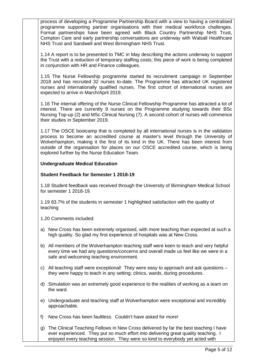process of developing a Programme Partnership Board with a view to having a centralised programme supporting partner organisations with their medical workforce challenges. Formal partnerships have been agreed with Black Country Partnership NHS Trust, Compton Care and early partnership conversations are underway with Walsall Healthcare NHS Trust and Sandwell and West Birmingham NHS Trust.

1.14 A report is to be presented to TMC in May describing the actions underway to support the Trust with a reduction of temporary staffing costs; this piece of work is being completed in conjunction with HR and Finance colleagues.

1.15 The Nurse Fellowship programme started its recruitment campaign in September 2018 and has recruited 32 nurses to-date. The Programme has attracted UK registered nurses and internationally qualified nurses. The first cohort of international nurses are expected to arrive in March/April 2019.

1.16 The internal offering of the Nurse Clinical Fellowship Programme has attracted a lot of interest. There are currently 9 nurses on the Programme studying towards their BSc Nursing Top-up (2) and MSc Clinical Nursing (7). A second cohort of nurses will commence their studies in September 2019.

1.17 The OSCE bootcamp that is completed by all international nurses is in the validation process to become an accredited course at master's level through the University of Wolverhampton, making it the first of its kind in the UK. There has been interest from outside of the organisation for places on our OSCE accredited course, which is being explored further by the Nurse Education Team.

#### **Undergraduate Medical Education**

#### **Student Feedback for Semester 1 2018-19**

1.18 Student feedback was received through the University of Birmingham Medical School for semester 1 2018-19.

1.19 83.7% of the students in semester 1 highlighted satisfaction with the quality of teaching

1.20 Comments included:

- a) New Cross has been extremely organised, with more teaching than expected at such a high quality. So glad my first experience of hospitals was at New Cross.
- b) All members of the Wolverhampton teaching staff were keen to teach and very helpful every time we had any questions/concerns and overall made us feel like we were in a safe and welcoming teaching environment.
- c) All teaching staff were exceptional! They were easy to approach and ask questions they were happy to teach in any setting: clinics, wards, during procedures.
- d) Simulation was an extremely good experience to the realities of working as a team on the ward.
- e) Undergraduate and teaching staff at Wolverhampton were exceptional and incredibly approachable.
- f) New Cross has been faultless. Couldn't have asked for more!
- g) The Clinical Teaching Fellows in New Cross delivered by far the best teaching I have ever experienced. They put so much effort into delivering great quality teaching. I enjoyed every teaching session. They were so kind to everybody yet acted with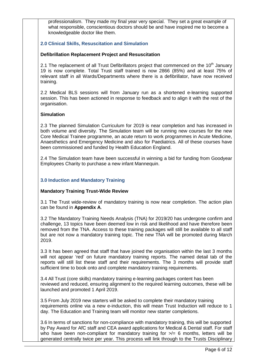professionalism. They made my final year very special. They set a great example of what responsible, conscientious doctors should be and have inspired me to become a knowledgeable doctor like them.

# **2.0 Clinical Skills, Resuscitation and Simulation**

#### **Defibrillation Replacement Project and Resuscitation**

2.1 The replacement of all Trust Defibrillators project that commenced on the 10<sup>th</sup> January 19 is now complete. Total Trust staff trained is now 2866 (85%) and at least 75% of relevant staff in all Wards/Departments where there is a defibrillator, have now received training.

2.2 Medical BLS sessions will from January run as a shortened e-learning supported session. This has been actioned in response to feedback and to align it with the rest of the organisation.

# **Simulation**

2.3 The planned Simulation Curriculum for 2019 is near completion and has increased in both volume and diversity. The Simulation team will be running new courses for the new Core Medical Trainee programme, an acute return to work programmes in Acute Medicine, Anaesthetics and Emergency Medicine and also for Paediatrics. All of these courses have been commissioned and funded by Health Education England.

2.4 The Simulation team have been successful in winning a bid for funding from Goodyear Employees Charity to purchase a new infant Mannequin.

# **3.0 Induction and Mandatory Training**

#### **Mandatory Training Trust-Wide Review**

3.1 The Trust wide-review of mandatory training is now near completion. The action plan can be found in **Appendix A**.

3.2 The Mandatory Training Needs Analysis (TNA) for 2019/20 has undergone confirm and challenge, 13 topics have been deemed low in risk and likelihood and have therefore been removed from the TNA. Access to these training packages will still be available to all staff but are not now a mandatory training topic. The new TNA will be promoted during March 2019.

3.3 It has been agreed that staff that have joined the organisation within the last 3 months will not appear 'red' on future mandatory training reports. The named detail tab of the reports will still list these staff and their requirements. The 3 months will provide staff sufficient time to book onto and complete mandatory training requirements.

3.4 All Trust (core skills) mandatory training e-learning packages content has been reviewed and reduced, ensuring alignment to the required learning outcomes, these will be launched and promoted 1 April 2019.

3.5 From July 2019 new starters will be asked to complete their mandatory training requirements online via a new e-induction, this will mean Trust Induction will reduce to 1 day. The Education and Training team will monitor new starter completions.

3.6 In terms of sanctions for non-compliance with mandatory training, this will be supported by Pay Award for AfC staff and CEA award applications for Medical & Dental staff. For staff who have been non-compliant for mandatory training for  $\geq$  6 months, letters will be generated centrally twice per year. This process will link through to the Trusts Disciplinary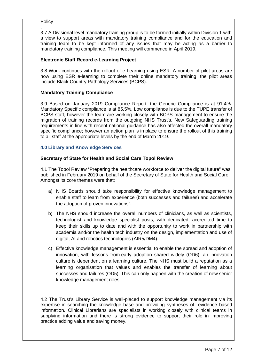**Policy** 

. 3.7 A Divisional level mandatory training group is to be formed initially within Division 1 with a view to support areas with mandatory training compliance and for the education and training team to be kept informed of any issues that may be acting as a barrier to mandatory training compliance. This meeting will commence in April 2019.

# **Electronic Staff Record e-Learning Project**

3.8 Work continues with the rollout of e-Learning using ESR. A number of pilot areas are now using ESR e-learning to complete their online mandatory training, the pilot areas include Black Country Pathology Services (BCPS).

# **Mandatory Training Compliance**

3.9 Based on January 2019 Compliance Report, the Generic Compliance is at 91.4%. Mandatory Specific compliance is at 85.5%. Low compliance is due to the TUPE transfer of BCPS staff, however the team are working closely with BCPS management to ensure the migration of training records from the outgoing NHS Trust's. New Safeguarding training requirements in line with recent national guidance has also affected the overall mandatory specific compliance; however an action plan is in place to ensure the rollout of this training to all staff at the appropriate levels by the end of March 2019.

# **4.0 Library and Knowledge Services**

# **Secretary of State for Health and Social Care Topol Review**

4.1 The Topol Review "Preparing the healthcare workforce to deliver the digital future" was published in February 2019 on behalf of the Secretary of State for Health and Social Care. Amongst its core themes were that;

- a) NHS Boards should take responsibility for effective knowledge management to enable staff to learn from experience (both successes and failures) and accelerate the adoption of proven innovations".
- b) The NHS should increase the overall numbers of clinicians, as well as scientists, technologist and knowledge specialist posts, with dedicated, accredited time to keep their skills up to date and with the opportunity to work in partnership with academia and/or the health tech industry on the design, implementation and use of digital, AI and robotics technologies (AIR5/DM4).
- c) Effective knowledge management is essential to enable the spread and adoption of innovation, with lessons from early adoption shared widely (OD6): an innovation culture is dependent on a learning culture. The NHS must build a reputation as a learning organisation that values and enables the transfer of learning about successes and failures (OD5). This can only happen with the creation of new senior knowledge management roles.

4.2 The Trust's Library Service is well-placed to support knowledge management via its expertise in searching the knowledge base and providing syntheses of evidence based information. Clinical Librarians are specialists in working closely with clinical teams in supplying information and there is strong evidence to support their role in improving practice adding value and saving money.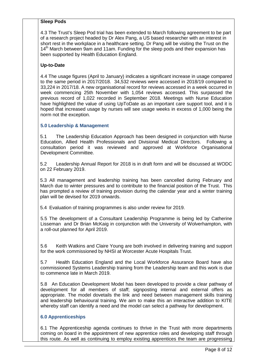#### **Sleep Pods**

4.3 The Trust's Sleep Pod trial has been extended to March following agreement to be part of a research project headed by Dr Alex Pang, a US based researcher with an interest in short rest in the workplace in a healthcare setting. Dr Pang will be visiting the Trust on the 14<sup>th</sup> March between 9am and 11am. Funding for the sleep pods and their expansion has been supported by Health Education England.

# **Up-to-Date**

4.4 The usage figures (April to January) indicates a significant increase in usage compared to the same period in 2017/2018. 34,532 reviews were accessed in 2018/19 compared to 33,224 in 2017/18. A new organisational record for reviews accessed in a week occurred in week commencing 25th November with 1,054 reviews accessed. This surpassed the previous record of 1,022 recorded in September 2018. Meetings with Nurse Education have highlighted the value of using UpToDate as an important care support tool, and it is hoped that increased usage by nurses will see usage weeks in excess of 1,000 being the norm not the exception.

# **5.0 Leadership & Management**

5.1 The Leadership Education Approach has been designed in conjunction with Nurse Education, Allied Health Professionals and Divisional Medical Directors. Following a consultation period it was reviewed and approved at Workforce Organisational Development Committee.

5.2 Leadership Annual Report for 2018 is in draft form and will be discussed at WODC on 22 February 2019.

5.3 All management and leadership training has been cancelled during February and March due to winter pressures and to contribute to the financial position of the Trust. This has prompted a review of training provision during the calendar year and a winter training plan will be devised for 2019 onwards.

5.4 Evaluation of training programmes is also under review for 2019.

5.5 The development of a Consultant Leadership Programme is being led by Catherine Lisseman and Dr Brian McKaig in conjunction with the University of Wolverhampton, with a roll-out planned for April 2019.

5.6 Keith Watkins and Claire Young are both involved in delivering training and support for the work commissioned by NHSI at Worcester Acute Hospitals Trust.

5.7 Health Education England and the Local Workforce Assurance Board have also commissioned Systems Leadership training from the Leadership team and this work is due to commence late in March 2019.

5.8 An Education Development Model has been developed to provide a clear pathway of development for all members of staff; signposting internal and external offers as appropriate. The model dovetails the link and need between management skills training and leadership behavioural training. We aim to make this an interactive addition to KITE whereby staff can identify a need and the model can select a pathway for development.

# **6.0 Apprenticeships**

6.1 The Apprenticeship agenda continues to thrive in the Trust with more departments coming on board in the appointment of new apprentice roles and developing staff through this route. As well as continuing to employ existing apprentices the team are progressing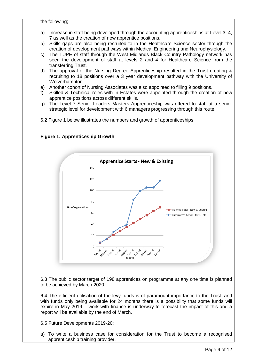the following;

- a) Increase in staff being developed through the accounting apprenticeships at Level 3, 4, 7 as well as the creation of new apprentice positions.
- b) Skills gaps are also being recruited to in the Healthcare Science sector through the creation of development pathways within Medical Engineering and Neurophysiology.
- c) The TUPE of staff through the West Midlands Black Country Pathology network has seen the development of staff at levels 2 and 4 for Healthcare Science from the transferring Trust.
- d) The approval of the Nursing Degree Apprenticeship resulted in the Trust creating & recruiting to 18 positions over a 3 year development pathway with the University of Wolverhampton.
- e) Another cohort of Nursing Associates was also appointed to filling 9 positions.
- f) Skilled & Technical roles with in Estates were appointed through the creation of new apprentice positions across different skills.
- g) The Level 7 Senior Leaders Masters Apprenticeship was offered to staff at a senior strategic level for development with 6 managers progressing through this route.

6.2 Figure 1 below illustrates the numbers and growth of apprenticeships

**Figure 1: Apprenticeship Growth** 



6.3 The public sector target of 198 apprentices on programme at any one time is planned to be achieved by March 2020.

6.4 The efficient utilisation of the levy funds is of paramount importance to the Trust, and with funds only being available for 24 months there is a possibility that some funds will expire in May 2019 – work with finance is underway to forecast the impact of this and a report will be available by the end of March.

6.5 Future Developments 2019-20;

a) To write a business case for consideration for the Trust to become a recognised apprenticeship training provider.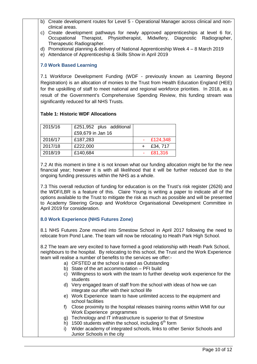- b) Create development routes for Level 5 Operational Manager across clinical and nonclinical areas.
- c) Create development pathways for newly approved apprenticeships at level 6 for, Occupational Therapist, Physiotherapist, Midwifery, Diagnostic Radiographer, Therapeutic Radiographer.
- d) Promotional planning & delivery of National Apprenticeship Week 4 8 March 2019
- e) Attendance of Apprenticeship & Skills Show in April 2019

# **7.0 Work Based Learning**

7.1 Workforce Development Funding (WDF - previously known as Learning Beyond Registration) is an allocation of monies to the Trust from Health Education England (HEE) for the upskilling of staff to meet national and regional workforce priorities. In 2018, as a result of the Government's Comprehensive Spending Review, this funding stream was significantly reduced for all NHS Trusts.

# **Table 1: Historic WDF Allocations**

| 2015/16 | £251,952 plus additional |             |
|---------|--------------------------|-------------|
|         | £59,679 in Jan 16        |             |
| 2016/17 | £187,283                 | $-E124,348$ |
| 2017/18 | £222,000                 | £34, 717    |
| 2018/19 | £140,684                 | £81,316     |

7.2 At this moment in time it is not known what our funding allocation might be for the new financial year; however it is with all likelihood that it will be further reduced due to the ongoing funding pressures within the NHS as a whole.

7.3 This overall reduction of funding for education is on the Trust's risk register (2626) and the WDF/LBR is a feature of this. Claire Young is writing a paper to indicate all of the options available to the Trust to mitigate the risk as much as possible and will be presented to Academy Steering Group and Workforce Organisational Development Committee in April 2019 for consideration.

# **8.0 Work Experience (NHS Futures Zone)**

8.1 NHS Futures Zone moved into Smestow School in April 2017 following the need to relocate from Pond Lane. The team will now be relocating to Heath Park High School.

8.2 The team are very excited to have formed a good relationship with Heath Park School, neighbours to the hospital. By relocating to this school, the Trust and the Work Experience team will realise a number of benefits to the services we offer:-

- a) OFSTED at the school is rated as Outstanding
- b) State of the art accommodation PFI build
- c) Willingness to work with the team to further develop work experience for the students
- d) Very engaged team of staff from the school with ideas of how we can integrate our offer with their school life
- e) Work Experience team to have unlimited access to the equipment and school facilities
- f) Close proximity to the hospital releases training rooms within WMI for our Work Experience programmes
- g) Technology and IT infrastructure is superior to that of Smestow
- h) 1500 students within the school, including  $6<sup>th</sup>$  form
- i) Wider academy of integrated schools, links to other Senior Schools and Junior Schools in the city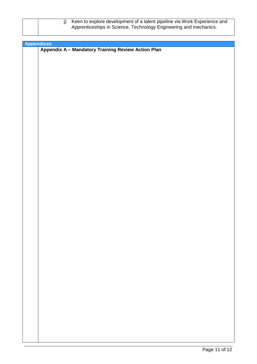| Keen to explore development of a talent pipeline via Work Experience and |
|--------------------------------------------------------------------------|
| Apprenticeships in Science, Technology Engineering and mechanics.        |
|                                                                          |

| Appendices<br>Appendix A - Mandatory Training Review Action Plan |
|------------------------------------------------------------------|
|                                                                  |
|                                                                  |
|                                                                  |
|                                                                  |
|                                                                  |
|                                                                  |
|                                                                  |
|                                                                  |
|                                                                  |
|                                                                  |
|                                                                  |
|                                                                  |
|                                                                  |
|                                                                  |
|                                                                  |
|                                                                  |
|                                                                  |
|                                                                  |
|                                                                  |
|                                                                  |
|                                                                  |
|                                                                  |
|                                                                  |
|                                                                  |
|                                                                  |
|                                                                  |
|                                                                  |
|                                                                  |
|                                                                  |
|                                                                  |
|                                                                  |
|                                                                  |
|                                                                  |
|                                                                  |
|                                                                  |
|                                                                  |
|                                                                  |
|                                                                  |
|                                                                  |
|                                                                  |
|                                                                  |
|                                                                  |
|                                                                  |
|                                                                  |
|                                                                  |
|                                                                  |
|                                                                  |
|                                                                  |
|                                                                  |
|                                                                  |
|                                                                  |
|                                                                  |
|                                                                  |
|                                                                  |
|                                                                  |
|                                                                  |
|                                                                  |
|                                                                  |
|                                                                  |
|                                                                  |
|                                                                  |
|                                                                  |